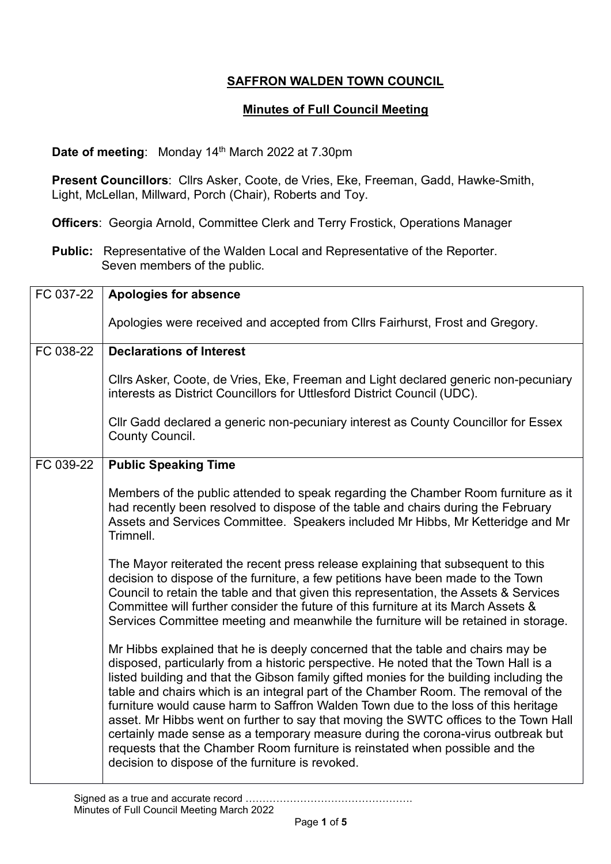## **SAFFRON WALDEN TOWN COUNCIL**

## **Minutes of Full Council Meeting**

**Date of meeting:** Monday 14<sup>th</sup> March 2022 at 7.30pm

**Present Councillors**: Cllrs Asker, Coote, de Vries, Eke, Freeman, Gadd, Hawke-Smith, Light, McLellan, Millward, Porch (Chair), Roberts and Toy.

**Officers**: Georgia Arnold, Committee Clerk and Terry Frostick, Operations Manager

**Public:** Representative of the Walden Local and Representative of the Reporter. Seven members of the public.

| FC 037-22 | <b>Apologies for absence</b>                                                                                                                                                                                                                                                                                                                                                                                                                                                                                                                                                                                                                                                                                                                                   |
|-----------|----------------------------------------------------------------------------------------------------------------------------------------------------------------------------------------------------------------------------------------------------------------------------------------------------------------------------------------------------------------------------------------------------------------------------------------------------------------------------------------------------------------------------------------------------------------------------------------------------------------------------------------------------------------------------------------------------------------------------------------------------------------|
|           | Apologies were received and accepted from Cllrs Fairhurst, Frost and Gregory.                                                                                                                                                                                                                                                                                                                                                                                                                                                                                                                                                                                                                                                                                  |
| FC 038-22 | <b>Declarations of Interest</b>                                                                                                                                                                                                                                                                                                                                                                                                                                                                                                                                                                                                                                                                                                                                |
|           | Cllrs Asker, Coote, de Vries, Eke, Freeman and Light declared generic non-pecuniary<br>interests as District Councillors for Uttlesford District Council (UDC).                                                                                                                                                                                                                                                                                                                                                                                                                                                                                                                                                                                                |
|           | CIIr Gadd declared a generic non-pecuniary interest as County Councillor for Essex<br>County Council.                                                                                                                                                                                                                                                                                                                                                                                                                                                                                                                                                                                                                                                          |
| FC 039-22 | <b>Public Speaking Time</b>                                                                                                                                                                                                                                                                                                                                                                                                                                                                                                                                                                                                                                                                                                                                    |
|           | Members of the public attended to speak regarding the Chamber Room furniture as it<br>had recently been resolved to dispose of the table and chairs during the February<br>Assets and Services Committee. Speakers included Mr Hibbs, Mr Ketteridge and Mr<br>Trimnell.                                                                                                                                                                                                                                                                                                                                                                                                                                                                                        |
|           | The Mayor reiterated the recent press release explaining that subsequent to this<br>decision to dispose of the furniture, a few petitions have been made to the Town<br>Council to retain the table and that given this representation, the Assets & Services<br>Committee will further consider the future of this furniture at its March Assets &<br>Services Committee meeting and meanwhile the furniture will be retained in storage.                                                                                                                                                                                                                                                                                                                     |
|           | Mr Hibbs explained that he is deeply concerned that the table and chairs may be<br>disposed, particularly from a historic perspective. He noted that the Town Hall is a<br>listed building and that the Gibson family gifted monies for the building including the<br>table and chairs which is an integral part of the Chamber Room. The removal of the<br>furniture would cause harm to Saffron Walden Town due to the loss of this heritage<br>asset. Mr Hibbs went on further to say that moving the SWTC offices to the Town Hall<br>certainly made sense as a temporary measure during the corona-virus outbreak but<br>requests that the Chamber Room furniture is reinstated when possible and the<br>decision to dispose of the furniture is revoked. |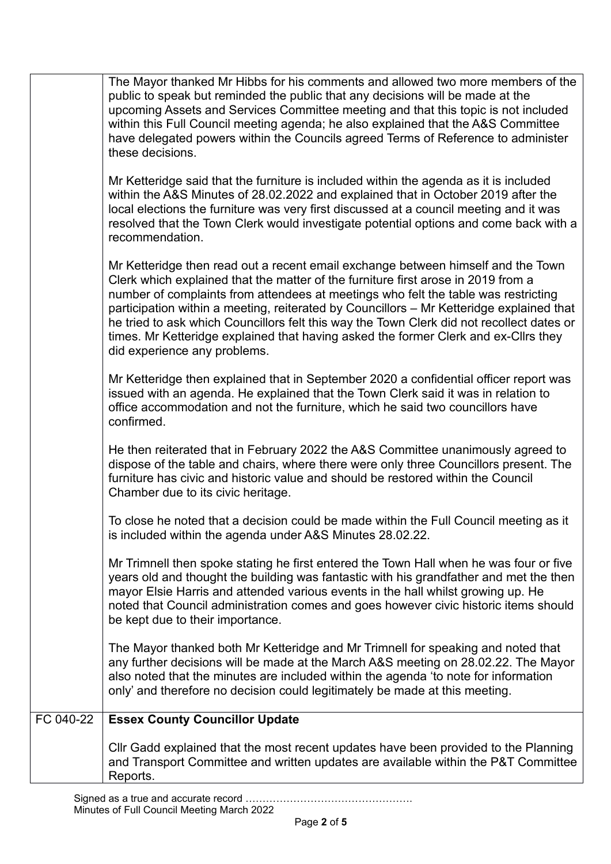|           | The Mayor thanked Mr Hibbs for his comments and allowed two more members of the<br>public to speak but reminded the public that any decisions will be made at the<br>upcoming Assets and Services Committee meeting and that this topic is not included<br>within this Full Council meeting agenda; he also explained that the A&S Committee<br>have delegated powers within the Councils agreed Terms of Reference to administer<br>these decisions.                                                                                                                       |
|-----------|-----------------------------------------------------------------------------------------------------------------------------------------------------------------------------------------------------------------------------------------------------------------------------------------------------------------------------------------------------------------------------------------------------------------------------------------------------------------------------------------------------------------------------------------------------------------------------|
|           | Mr Ketteridge said that the furniture is included within the agenda as it is included<br>within the A&S Minutes of 28.02.2022 and explained that in October 2019 after the<br>local elections the furniture was very first discussed at a council meeting and it was<br>resolved that the Town Clerk would investigate potential options and come back with a<br>recommendation.                                                                                                                                                                                            |
|           | Mr Ketteridge then read out a recent email exchange between himself and the Town<br>Clerk which explained that the matter of the furniture first arose in 2019 from a<br>number of complaints from attendees at meetings who felt the table was restricting<br>participation within a meeting, reiterated by Councillors – Mr Ketteridge explained that<br>he tried to ask which Councillors felt this way the Town Clerk did not recollect dates or<br>times. Mr Ketteridge explained that having asked the former Clerk and ex-Cllrs they<br>did experience any problems. |
|           | Mr Ketteridge then explained that in September 2020 a confidential officer report was<br>issued with an agenda. He explained that the Town Clerk said it was in relation to<br>office accommodation and not the furniture, which he said two councillors have<br>confirmed.                                                                                                                                                                                                                                                                                                 |
|           | He then reiterated that in February 2022 the A&S Committee unanimously agreed to<br>dispose of the table and chairs, where there were only three Councillors present. The<br>furniture has civic and historic value and should be restored within the Council<br>Chamber due to its civic heritage.                                                                                                                                                                                                                                                                         |
|           | To close he noted that a decision could be made within the Full Council meeting as it<br>is included within the agenda under A&S Minutes 28.02.22.                                                                                                                                                                                                                                                                                                                                                                                                                          |
|           | Mr Trimnell then spoke stating he first entered the Town Hall when he was four or five<br>years old and thought the building was fantastic with his grandfather and met the then<br>mayor Elsie Harris and attended various events in the hall whilst growing up. He<br>noted that Council administration comes and goes however civic historic items should<br>be kept due to their importance.                                                                                                                                                                            |
|           | The Mayor thanked both Mr Ketteridge and Mr Trimnell for speaking and noted that<br>any further decisions will be made at the March A&S meeting on 28.02.22. The Mayor<br>also noted that the minutes are included within the agenda 'to note for information<br>only' and therefore no decision could legitimately be made at this meeting.                                                                                                                                                                                                                                |
| FC 040-22 | <b>Essex County Councillor Update</b>                                                                                                                                                                                                                                                                                                                                                                                                                                                                                                                                       |
|           | Cllr Gadd explained that the most recent updates have been provided to the Planning<br>and Transport Committee and written updates are available within the P&T Committee<br>Reports.                                                                                                                                                                                                                                                                                                                                                                                       |
|           |                                                                                                                                                                                                                                                                                                                                                                                                                                                                                                                                                                             |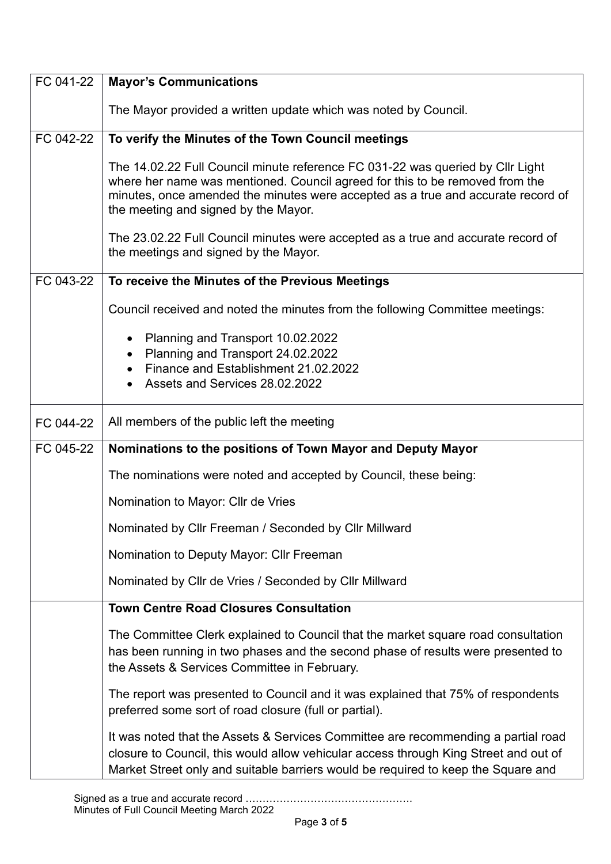| FC 041-22 | <b>Mayor's Communications</b>                                                                                                                                                                                                                                                              |
|-----------|--------------------------------------------------------------------------------------------------------------------------------------------------------------------------------------------------------------------------------------------------------------------------------------------|
|           | The Mayor provided a written update which was noted by Council.                                                                                                                                                                                                                            |
| FC 042-22 | To verify the Minutes of the Town Council meetings                                                                                                                                                                                                                                         |
|           | The 14.02.22 Full Council minute reference FC 031-22 was queried by Cllr Light<br>where her name was mentioned. Council agreed for this to be removed from the<br>minutes, once amended the minutes were accepted as a true and accurate record of<br>the meeting and signed by the Mayor. |
|           | The 23.02.22 Full Council minutes were accepted as a true and accurate record of<br>the meetings and signed by the Mayor.                                                                                                                                                                  |
| FC 043-22 | To receive the Minutes of the Previous Meetings                                                                                                                                                                                                                                            |
|           | Council received and noted the minutes from the following Committee meetings:                                                                                                                                                                                                              |
|           | Planning and Transport 10.02.2022<br>$\bullet$<br>Planning and Transport 24.02.2022<br>Finance and Establishment 21,02,2022<br>Assets and Services 28.02.2022                                                                                                                              |
| FC 044-22 | All members of the public left the meeting                                                                                                                                                                                                                                                 |
| FC 045-22 | Nominations to the positions of Town Mayor and Deputy Mayor                                                                                                                                                                                                                                |
|           | The nominations were noted and accepted by Council, these being:                                                                                                                                                                                                                           |
|           | Nomination to Mayor: Cllr de Vries                                                                                                                                                                                                                                                         |
|           | Nominated by Cllr Freeman / Seconded by Cllr Millward                                                                                                                                                                                                                                      |
|           | Nomination to Deputy Mayor: Cllr Freeman                                                                                                                                                                                                                                                   |
|           | Nominated by Cllr de Vries / Seconded by Cllr Millward                                                                                                                                                                                                                                     |
|           | <b>Town Centre Road Closures Consultation</b>                                                                                                                                                                                                                                              |
|           | The Committee Clerk explained to Council that the market square road consultation<br>has been running in two phases and the second phase of results were presented to<br>the Assets & Services Committee in February.                                                                      |
|           | The report was presented to Council and it was explained that 75% of respondents<br>preferred some sort of road closure (full or partial).                                                                                                                                                 |
|           | It was noted that the Assets & Services Committee are recommending a partial road<br>closure to Council, this would allow vehicular access through King Street and out of<br>Market Street only and suitable barriers would be required to keep the Square and                             |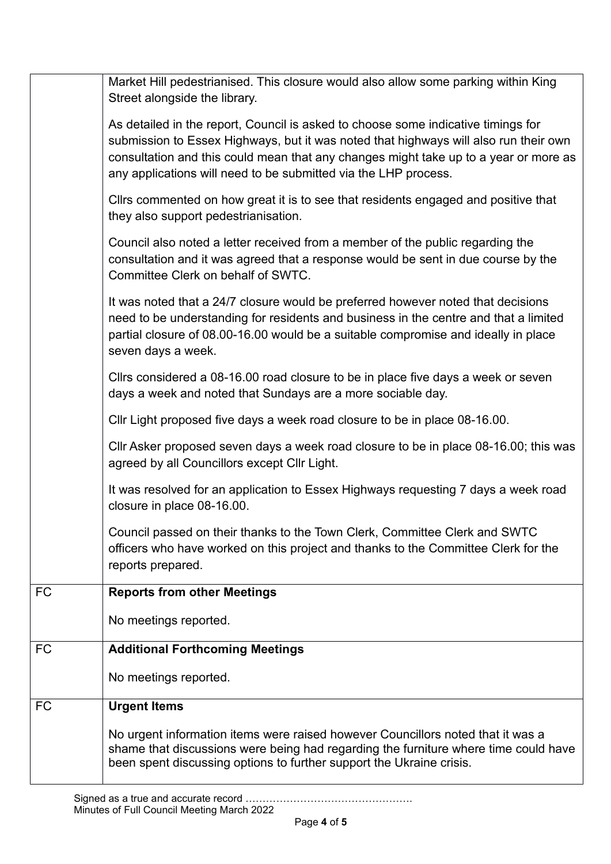|           | Market Hill pedestrianised. This closure would also allow some parking within King<br>Street alongside the library.                                                                                                                                                                                                                  |
|-----------|--------------------------------------------------------------------------------------------------------------------------------------------------------------------------------------------------------------------------------------------------------------------------------------------------------------------------------------|
|           | As detailed in the report, Council is asked to choose some indicative timings for<br>submission to Essex Highways, but it was noted that highways will also run their own<br>consultation and this could mean that any changes might take up to a year or more as<br>any applications will need to be submitted via the LHP process. |
|           | Cllrs commented on how great it is to see that residents engaged and positive that<br>they also support pedestrianisation.                                                                                                                                                                                                           |
|           | Council also noted a letter received from a member of the public regarding the<br>consultation and it was agreed that a response would be sent in due course by the<br>Committee Clerk on behalf of SWTC.                                                                                                                            |
|           | It was noted that a 24/7 closure would be preferred however noted that decisions<br>need to be understanding for residents and business in the centre and that a limited<br>partial closure of 08.00-16.00 would be a suitable compromise and ideally in place<br>seven days a week.                                                 |
|           | Cllrs considered a 08-16.00 road closure to be in place five days a week or seven<br>days a week and noted that Sundays are a more sociable day.                                                                                                                                                                                     |
|           | Cllr Light proposed five days a week road closure to be in place 08-16.00.                                                                                                                                                                                                                                                           |
|           | CIIr Asker proposed seven days a week road closure to be in place 08-16.00; this was<br>agreed by all Councillors except Cllr Light.                                                                                                                                                                                                 |
|           | It was resolved for an application to Essex Highways requesting 7 days a week road<br>closure in place 08-16.00.                                                                                                                                                                                                                     |
|           | Council passed on their thanks to the Town Clerk, Committee Clerk and SWTC<br>officers who have worked on this project and thanks to the Committee Clerk for the<br>reports prepared.                                                                                                                                                |
| <b>FC</b> | <b>Reports from other Meetings</b>                                                                                                                                                                                                                                                                                                   |
|           | No meetings reported.                                                                                                                                                                                                                                                                                                                |
| <b>FC</b> | <b>Additional Forthcoming Meetings</b>                                                                                                                                                                                                                                                                                               |
|           | No meetings reported.                                                                                                                                                                                                                                                                                                                |
| <b>FC</b> | <b>Urgent Items</b>                                                                                                                                                                                                                                                                                                                  |
|           | No urgent information items were raised however Councillors noted that it was a<br>shame that discussions were being had regarding the furniture where time could have<br>been spent discussing options to further support the Ukraine crisis.                                                                                       |
|           |                                                                                                                                                                                                                                                                                                                                      |